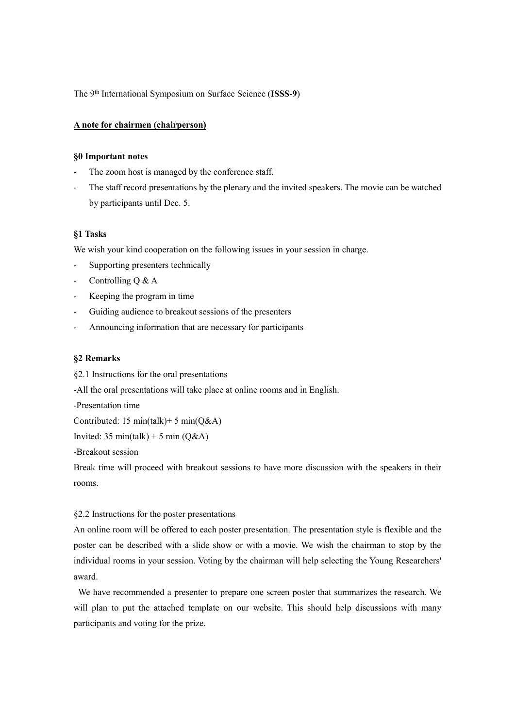The 9th International Symposium on Surface Science (**ISSS**-**9**)

## **A note for chairmen (chairperson)**

## **§0 Important notes**

- The zoom host is managed by the conference staff.
- The staff record presentations by the plenary and the invited speakers. The movie can be watched by participants until Dec. 5.

## **§1 Tasks**

We wish your kind cooperation on the following issues in your session in charge.

- Supporting presenters technically
- Controlling Q & A
- Keeping the program in time
- Guiding audience to breakout sessions of the presenters
- Announcing information that are necessary for participants

#### **§2 Remarks**

- §2.1 Instructions for the oral presentations
- -All the oral presentations will take place at online rooms and in English.

-Presentation time

Contributed: 15 min(talk)+ 5 min(Q&A)

Invited:  $35 \text{ min}(\text{talk}) + 5 \text{ min}(\text{Q&A})$ 

-Breakout session

Break time will proceed with breakout sessions to have more discussion with the speakers in their rooms.

## §2.2 Instructions for the poster presentations

An online room will be offered to each poster presentation. The presentation style is flexible and the poster can be described with a slide show or with a movie. We wish the chairman to stop by the individual rooms in your session. Voting by the chairman will help selecting the Young Researchers' award.

We have recommended a presenter to prepare one screen poster that summarizes the research. We will plan to put the attached template on our website. This should help discussions with many participants and voting for the prize.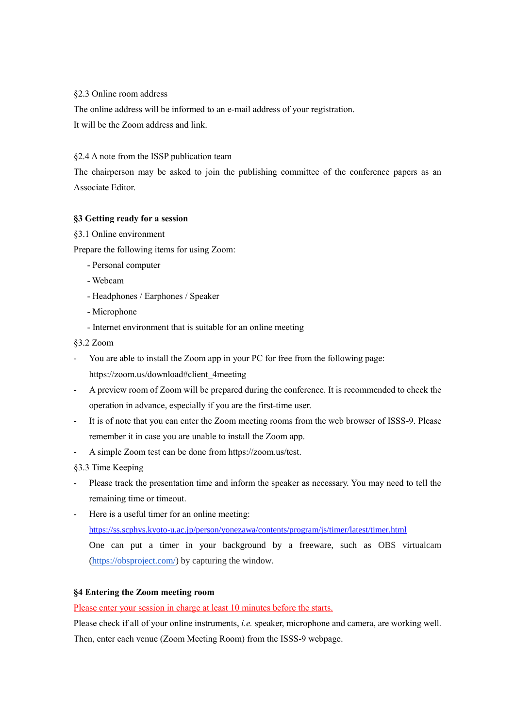# §2.3 Online room address

The online address will be informed to an e-mail address of your registration.

It will be the Zoom address and link.

# §2.4 A note from the ISSP publication team

The chairperson may be asked to join the publishing committee of the conference papers as an Associate Editor.

# **§3 Getting ready for a session**

§3.1 Online environment

Prepare the following items for using Zoom:

- Personal computer
- Webcam
- Headphones / Earphones / Speaker
- Microphone
- Internet environment that is suitable for an online meeting
- §3.2 Zoom
- You are able to install the Zoom app in your PC for free from the following page: https://zoom.us/download#client\_4meeting
- A preview room of Zoom will be prepared during the conference. It is recommended to check the operation in advance, especially if you are the first-time user.
- It is of note that you can enter the Zoom meeting rooms from the web browser of ISSS-9. Please remember it in case you are unable to install the Zoom app.
- A simple Zoom test can be done from https://zoom.us/test.
- §3.3 Time Keeping
- Please track the presentation time and inform the speaker as necessary. You may need to tell the remaining time or timeout.
- Here is a useful timer for an online meeting:
	- <https://ss.scphys.kyoto-u.ac.jp/person/yonezawa/contents/program/js/timer/latest/timer.html>

One can put a timer in your background by a freeware, such as OBS virtualcam [\(https://obsproject.com/\)](https://obsproject.com/) by capturing the window.

# **§4 Entering the Zoom meeting room**

Please enter your session in charge at least 10 minutes before the starts.

Please check if all of your online instruments, *i.e.* speaker, microphone and camera, are working well. Then, enter each venue (Zoom Meeting Room) from the ISSS-9 webpage.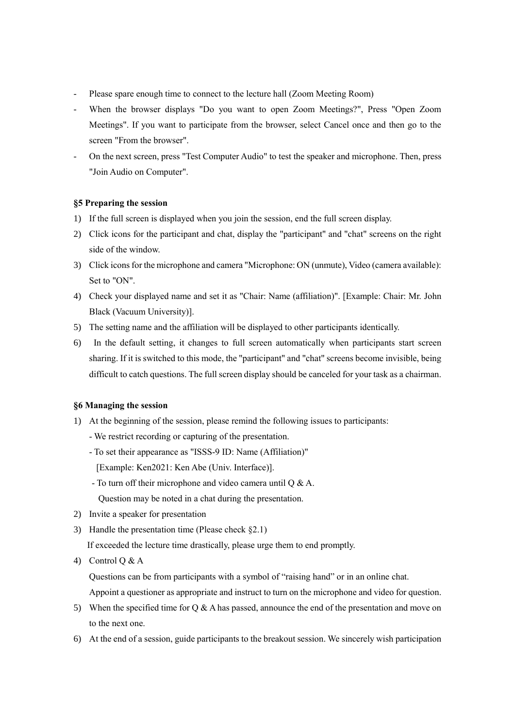- Please spare enough time to connect to the lecture hall (Zoom Meeting Room)
- When the browser displays "Do you want to open Zoom Meetings?", Press "Open Zoom Meetings". If you want to participate from the browser, select Cancel once and then go to the screen "From the browser".
- On the next screen, press "Test Computer Audio" to test the speaker and microphone. Then, press "Join Audio on Computer".

# **§5 Preparing the session**

- 1) If the full screen is displayed when you join the session, end the full screen display.
- 2) Click icons for the participant and chat, display the "participant" and "chat" screens on the right side of the window.
- 3) Click icons for the microphone and camera "Microphone: ON (unmute), Video (camera available): Set to "ON".
- 4) Check your displayed name and set it as "Chair: Name (affiliation)". [Example: Chair: Mr. John Black (Vacuum University)].
- 5) The setting name and the affiliation will be displayed to other participants identically.
- 6) In the default setting, it changes to full screen automatically when participants start screen sharing. If it is switched to this mode, the "participant" and "chat" screens become invisible, being difficult to catch questions. The full screen display should be canceled for your task as a chairman.

# **§6 Managing the session**

- 1) At the beginning of the session, please remind the following issues to participants:
	- We restrict recording or capturing of the presentation.
	- To set their appearance as "ISSS-9 ID: Name (Affiliation)"
	- [Example: Ken2021: Ken Abe (Univ. Interface)].
	- To turn off their microphone and video camera until Q & A. Question may be noted in a chat during the presentation.
- 2) Invite a speaker for presentation
- 3) Handle the presentation time (Please check §2.1) If exceeded the lecture time drastically, please urge them to end promptly.
- 4) Control Q & A

Questions can be from participants with a symbol of "raising hand" or in an online chat.

Appoint a questioner as appropriate and instruct to turn on the microphone and video for question.

- 5) When the specified time for Q & A has passed, announce the end of the presentation and move on to the next one.
- 6) At the end of a session, guide participants to the breakout session. We sincerely wish participation